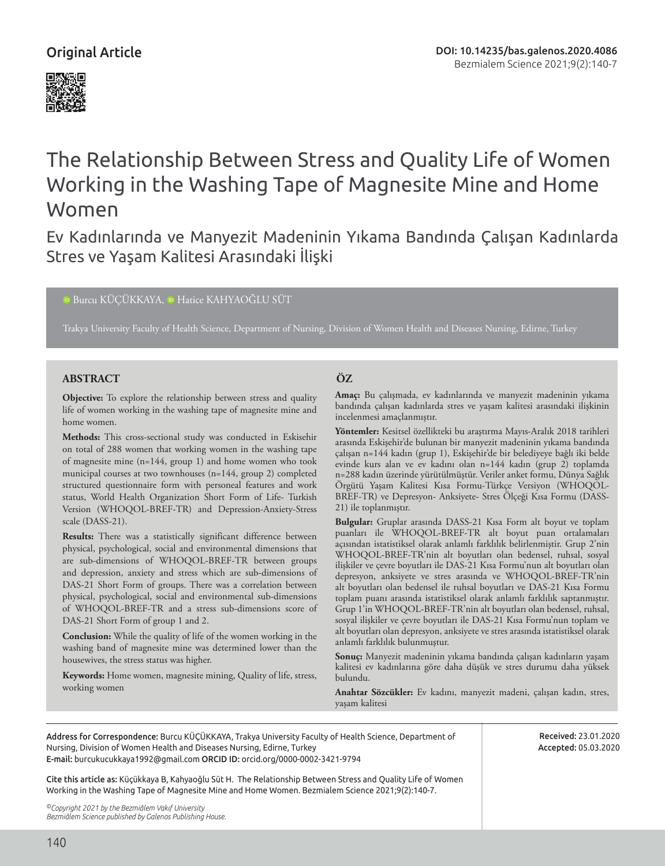## Original Article



# The Relationship Between Stress and Quality Life of Women Working in the Washing Tape of Magnesite Mine and Home Women

Ev Kadınlarında ve Manyezit Madeninin Yıkama Bandında Çalışan Kadınlarda Stres ve Yaşam Kalitesi Arasındaki İlişki

<sup>D</sup>Burcu KÜÇÜKKAYA, P Hatice KAHYAOĞLU SÜT

Trakya University Faculty of Health Science, Department of Nursing, Division of Women Health and Diseases Nursing, Edirne, Turkey

#### **ABSTRACT ÖZ**

**Objective:** To explore the relationship between stress and quality life of women working in the washing tape of magnesite mine and home women.

**Methods:** This cross-sectional study was conducted in Eskisehir on total of 288 women that working women in the washing tape of magnesite mine (n=144, group 1) and home women who took municipal courses at two townhouses (n=144, group 2) completed structured questionnaire form with personeal features and work status, World Health Organization Short Form of Life- Turkish Version (WHOQOL-BREF-TR) and Depression-Anxiety-Stress scale (DASS-21).

**Results:** There was a statistically significant difference between physical, psychological, social and environmental dimensions that are sub-dimensions of WHOQOL-BREF-TR between groups and depression, anxiety and stress which are sub-dimensions of DAS-21 Short Form of groups. There was a correlation between physical, psychological, social and environmental sub-dimensions of WHOQOL-BREF-TR and a stress sub-dimensions score of DAS-21 Short Form of group 1 and 2.

**Conclusion:** While the quality of life of the women working in the washing band of magnesite mine was determined lower than the housewives, the stress status was higher.

**Keywords:** Home women, magnesite mining, Quality of life, stress, working women

**Amaç:** Bu çalışmada, ev kadınlarında ve manyezit madeninin yıkama bandında çalışan kadınlarda stres ve yaşam kalitesi arasındaki ilişkinin incelenmesi amaçlanmıştır.

**Yöntemler:** Kesitsel özellikteki bu araştırma Mayıs-Aralık 2018 tarihleri arasında Eskişehir'de bulunan bir manyezit madeninin yıkama bandında çalışan n=144 kadın (grup 1), Eskişehir'de bir belediyeye bağlı iki belde evinde kurs alan ve ev kadını olan n=144 kadın (grup 2) toplamda n=288 kadın üzerinde yürütülmüştür. Veriler anket formu, Dünya Sağlık Örgütü Yaşam Kalitesi Kısa Formu-Türkçe Versiyon (WHOQOL-BREF-TR) ve Depresyon- Anksiyete- Stres Ölçeği Kısa Formu (DASS-21) ile toplanmıştır.

**Bulgular:** Gruplar arasında DASS-21 Kısa Form alt boyut ve toplam puanları ile WHOQOL-BREF-TR alt boyut puan ortalamaları açısından istatistiksel olarak anlamlı farklılık belirlenmiştir. Grup 2'nin WHOQOL-BREF-TR'nin alt boyutları olan bedensel, ruhsal, sosyal ilişkiler ve çevre boyutları ile DAS-21 Kısa Formu'nun alt boyutları olan depresyon, anksiyete ve stres arasında ve WHOQOL-BREF-TR'nin alt boyutları olan bedensel ile ruhsal boyutları ve DAS-21 Kısa Formu toplam puanı arasında istatistiksel olarak anlamlı farklılık saptanmıştır. Grup 1'in WHOQOL-BREF-TR'nin alt boyutları olan bedensel, ruhsal, sosyal ilişkiler ve çevre boyutları ile DAS-21 Kısa Formu'nun toplam ve alt boyutları olan depresyon, anksiyete ve stres arasında istatistiksel olarak anlamlı farklılık bulunmuştur.

**Sonuç:** Manyezit madeninin yıkama bandında çalışan kadınların yaşam kalitesi ev kadınlarına göre daha düşük ve stres durumu daha yüksek bulundu.

**Anahtar Sözcükler:** Ev kadını, manyezit madeni, çalışan kadın, stres, yaşam kalitesi

Address for Correspondence: Burcu KÜÇÜKKAYA, Trakya University Faculty of Health Science, Department of Nursing, Division of Women Health and Diseases Nursing, Edirne, Turkey E-mail: burcukucukkaya1992@gmail.com ORCID ID: orcid.org/0000-0002-3421-9794

Received: 23.01.2020 Accepted: 05.03.2020

Cite this article as: Küçükkaya B, Kahyaoğlu Süt H. The Relationship Between Stress and Quality Life of Women Working in the Washing Tape of Magnesite Mine and Home Women. Bezmialem Science 2021;9(2):140-7.

*©Copyright 2021 by the Bezmiâlem Vakıf University Bezmiâlem Science published by Galenos Publishing House.*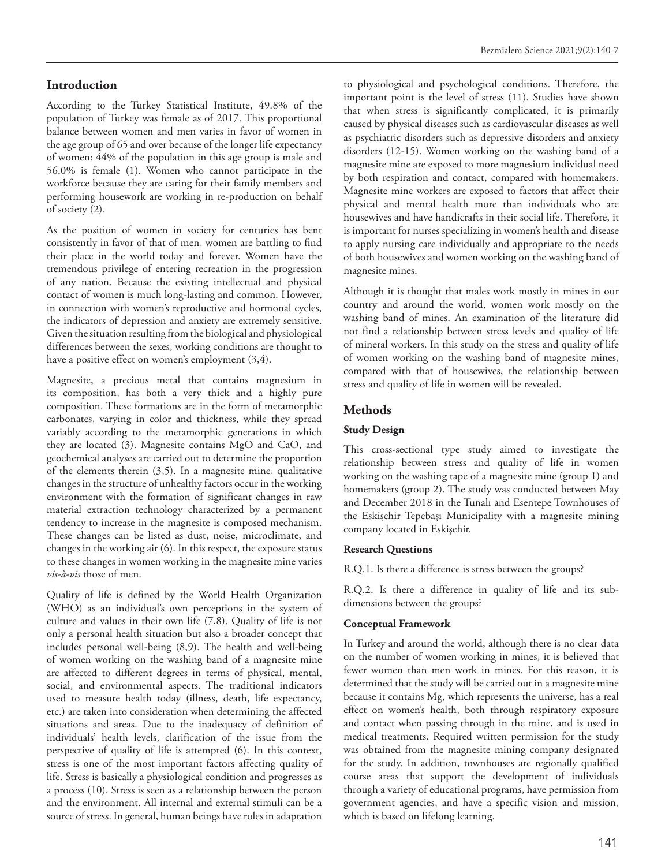#### **Introduction**

According to the Turkey Statistical Institute, 49.8% of the population of Turkey was female as of 2017. This proportional balance between women and men varies in favor of women in the age group of 65 and over because of the longer life expectancy of women: 44% of the population in this age group is male and 56.0% is female (1). Women who cannot participate in the workforce because they are caring for their family members and performing housework are working in re-production on behalf of society (2).

As the position of women in society for centuries has bent consistently in favor of that of men, women are battling to find their place in the world today and forever. Women have the tremendous privilege of entering recreation in the progression of any nation. Because the existing intellectual and physical contact of women is much long-lasting and common. However, in connection with women's reproductive and hormonal cycles, the indicators of depression and anxiety are extremely sensitive. Given the situation resulting from the biological and physiological differences between the sexes, working conditions are thought to have a positive effect on women's employment (3,4).

Magnesite, a precious metal that contains magnesium in its composition, has both a very thick and a highly pure composition. These formations are in the form of metamorphic carbonates, varying in color and thickness, while they spread variably according to the metamorphic generations in which they are located (3). Magnesite contains MgO and CaO, and geochemical analyses are carried out to determine the proportion of the elements therein (3,5). In a magnesite mine, qualitative changes in the structure of unhealthy factors occur in the working environment with the formation of significant changes in raw material extraction technology characterized by a permanent tendency to increase in the magnesite is composed mechanism. These changes can be listed as dust, noise, microclimate, and changes in the working air (6). In this respect, the exposure status to these changes in women working in the magnesite mine varies *vis-à-vis* those of men.

Quality of life is defined by the World Health Organization (WHO) as an individual's own perceptions in the system of culture and values in their own life (7,8). Quality of life is not only a personal health situation but also a broader concept that includes personal well-being (8,9). The health and well-being of women working on the washing band of a magnesite mine are affected to different degrees in terms of physical, mental, social, and environmental aspects. The traditional indicators used to measure health today (illness, death, life expectancy, etc.) are taken into consideration when determining the affected situations and areas. Due to the inadequacy of definition of individuals' health levels, clarification of the issue from the perspective of quality of life is attempted (6). In this context, stress is one of the most important factors affecting quality of life. Stress is basically a physiological condition and progresses as a process (10). Stress is seen as a relationship between the person and the environment. All internal and external stimuli can be a source of stress. In general, human beings have roles in adaptation to physiological and psychological conditions. Therefore, the important point is the level of stress (11). Studies have shown that when stress is significantly complicated, it is primarily caused by physical diseases such as cardiovascular diseases as well as psychiatric disorders such as depressive disorders and anxiety disorders (12-15). Women working on the washing band of a magnesite mine are exposed to more magnesium individual need by both respiration and contact, compared with homemakers. Magnesite mine workers are exposed to factors that affect their physical and mental health more than individuals who are housewives and have handicrafts in their social life. Therefore, it is important for nurses specializing in women's health and disease to apply nursing care individually and appropriate to the needs of both housewives and women working on the washing band of magnesite mines.

Although it is thought that males work mostly in mines in our country and around the world, women work mostly on the washing band of mines. An examination of the literature did not find a relationship between stress levels and quality of life of mineral workers. In this study on the stress and quality of life of women working on the washing band of magnesite mines, compared with that of housewives, the relationship between stress and quality of life in women will be revealed.

#### **Methods**

#### **Study Design**

This cross-sectional type study aimed to investigate the relationship between stress and quality of life in women working on the washing tape of a magnesite mine (group 1) and homemakers (group 2). The study was conducted between May and December 2018 in the Tunalı and Esentepe Townhouses of the Eskişehir Tepebaşı Municipality with a magnesite mining company located in Eskişehir.

#### **Research Questions**

R.Q.1. Is there a difference is stress between the groups?

R.Q.2. Is there a difference in quality of life and its subdimensions between the groups?

#### **Conceptual Framework**

In Turkey and around the world, although there is no clear data on the number of women working in mines, it is believed that fewer women than men work in mines. For this reason, it is determined that the study will be carried out in a magnesite mine because it contains Mg, which represents the universe, has a real effect on women's health, both through respiratory exposure and contact when passing through in the mine, and is used in medical treatments. Required written permission for the study was obtained from the magnesite mining company designated for the study. In addition, townhouses are regionally qualified course areas that support the development of individuals through a variety of educational programs, have permission from government agencies, and have a specific vision and mission, which is based on lifelong learning.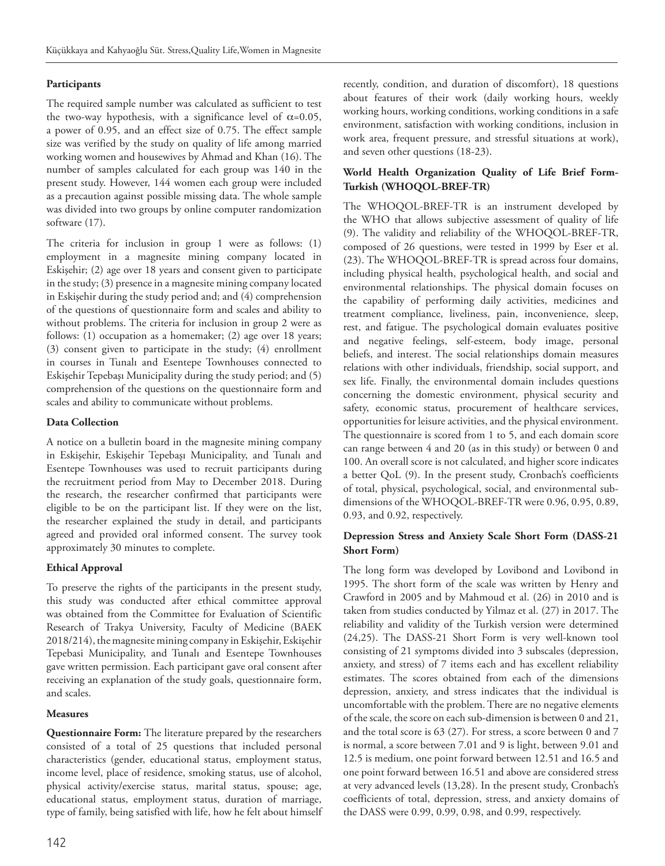#### **Participants**

The required sample number was calculated as sufficient to test the two-way hypothesis, with a significance level of  $\alpha$ =0.05, a power of 0.95, and an effect size of 0.75. The effect sample size was verified by the study on quality of life among married working women and housewives by Ahmad and Khan (16). The number of samples calculated for each group was 140 in the present study. However, 144 women each group were included as a precaution against possible missing data. The whole sample was divided into two groups by online computer randomization software (17).

The criteria for inclusion in group 1 were as follows: (1) employment in a magnesite mining company located in Eskişehir; (2) age over 18 years and consent given to participate in the study; (3) presence in a magnesite mining company located in Eskişehir during the study period and; and (4) comprehension of the questions of questionnaire form and scales and ability to without problems. The criteria for inclusion in group 2 were as follows: (1) occupation as a homemaker; (2) age over 18 years; (3) consent given to participate in the study; (4) enrollment in courses in Tunalı and Esentepe Townhouses connected to Eskişehir Tepebaşı Municipality during the study period; and (5) comprehension of the questions on the questionnaire form and scales and ability to communicate without problems.

#### **Data Collection**

A notice on a bulletin board in the magnesite mining company in Eskişehir, Eskişehir Tepebaşı Municipality, and Tunalı and Esentepe Townhouses was used to recruit participants during the recruitment period from May to December 2018. During the research, the researcher confirmed that participants were eligible to be on the participant list. If they were on the list, the researcher explained the study in detail, and participants agreed and provided oral informed consent. The survey took approximately 30 minutes to complete.

#### **Ethical Approval**

To preserve the rights of the participants in the present study, this study was conducted after ethical committee approval was obtained from the Committee for Evaluation of Scientific Research of Trakya University, Faculty of Medicine (BAEK 2018/214), the magnesite mining company in Eskişehir, Eskişehir Tepebasi Municipality, and Tunalı and Esentepe Townhouses gave written permission. Each participant gave oral consent after receiving an explanation of the study goals, questionnaire form, and scales.

#### **Measures**

**Questionnaire Form:** The literature prepared by the researchers consisted of a total of 25 questions that included personal characteristics (gender, educational status, employment status, income level, place of residence, smoking status, use of alcohol, physical activity/exercise status, marital status, spouse; age, educational status, employment status, duration of marriage, type of family, being satisfied with life, how he felt about himself recently, condition, and duration of discomfort), 18 questions about features of their work (daily working hours, weekly working hours, working conditions, working conditions in a safe environment, satisfaction with working conditions, inclusion in work area, frequent pressure, and stressful situations at work), and seven other questions (18-23).

#### **World Health Organization Quality of Life Brief Form-Turkish (WHOQOL-BREF-TR)**

The WHOQOL-BREF-TR is an instrument developed by the WHO that allows subjective assessment of quality of life (9). The validity and reliability of the WHOQOL-BREF-TR, composed of 26 questions, were tested in 1999 by Eser et al. (23). The WHOQOL-BREF-TR is spread across four domains, including physical health, psychological health, and social and environmental relationships. The physical domain focuses on the capability of performing daily activities, medicines and treatment compliance, liveliness, pain, inconvenience, sleep, rest, and fatigue. The psychological domain evaluates positive and negative feelings, self-esteem, body image, personal beliefs, and interest. The social relationships domain measures relations with other individuals, friendship, social support, and sex life. Finally, the environmental domain includes questions concerning the domestic environment, physical security and safety, economic status, procurement of healthcare services, opportunities for leisure activities, and the physical environment. The questionnaire is scored from 1 to 5, and each domain score can range between 4 and 20 (as in this study) or between 0 and 100. An overall score is not calculated, and higher score indicates a better QoL (9). In the present study, Cronbach's coefficients of total, physical, psychological, social, and environmental subdimensions of the WHOQOL-BREF-TR were 0.96, 0.95, 0.89, 0.93, and 0.92, respectively.

#### **Depression Stress and Anxiety Scale Short Form (DASS-21 Short Form)**

The long form was developed by Lovibond and Lovibond in 1995. The short form of the scale was written by Henry and Crawford in 2005 and by Mahmoud et al. (26) in 2010 and is taken from studies conducted by Yilmaz et al. (27) in 2017. The reliability and validity of the Turkish version were determined (24,25). The DASS-21 Short Form is very well-known tool consisting of 21 symptoms divided into 3 subscales (depression, anxiety, and stress) of 7 items each and has excellent reliability estimates. The scores obtained from each of the dimensions depression, anxiety, and stress indicates that the individual is uncomfortable with the problem. There are no negative elements of the scale, the score on each sub-dimension is between 0 and 21, and the total score is 63 (27). For stress, a score between 0 and 7 is normal, a score between 7.01 and 9 is light, between 9.01 and 12.5 is medium, one point forward between 12.51 and 16.5 and one point forward between 16.51 and above are considered stress at very advanced levels (13,28). In the present study, Cronbach's coefficients of total, depression, stress, and anxiety domains of the DASS were 0.99, 0.99, 0.98, and 0.99, respectively.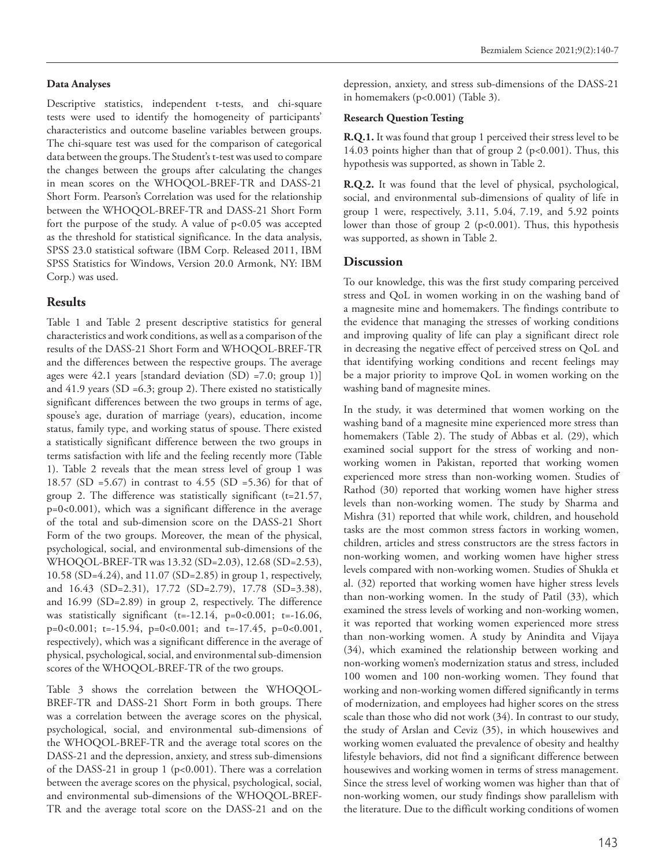#### **Data Analyses**

Descriptive statistics, independent t-tests, and chi-square tests were used to identify the homogeneity of participants' characteristics and outcome baseline variables between groups. The chi-square test was used for the comparison of categorical data between the groups. The Student's t-test was used to compare the changes between the groups after calculating the changes in mean scores on the WHOQOL-BREF-TR and DASS-21 Short Form. Pearson's Correlation was used for the relationship between the WHOQOL-BREF-TR and DASS-21 Short Form fort the purpose of the study. A value of p<0.05 was accepted as the threshold for statistical significance. In the data analysis, SPSS 23.0 statistical software (IBM Corp. Released 2011, IBM SPSS Statistics for Windows, Version 20.0 Armonk, NY: IBM Corp.) was used.

#### **Results**

Table 1 and Table 2 present descriptive statistics for general characteristics and work conditions, as well as a comparison of the results of the DASS-21 Short Form and WHOQOL-BREF-TR and the differences between the respective groups. The average ages were 42.1 years [standard deviation (SD) =7.0; group 1)] and 41.9 years (SD =6.3; group 2). There existed no statistically significant differences between the two groups in terms of age, spouse's age, duration of marriage (years), education, income status, family type, and working status of spouse. There existed a statistically significant difference between the two groups in terms satisfaction with life and the feeling recently more (Table 1). Table 2 reveals that the mean stress level of group 1 was 18.57 (SD =5.67) in contrast to 4.55 (SD =5.36) for that of group 2. The difference was statistically significant  $(t=21.57)$ , p=0<0.001), which was a significant difference in the average of the total and sub-dimension score on the DASS-21 Short Form of the two groups. Moreover, the mean of the physical, psychological, social, and environmental sub-dimensions of the WHOQOL-BREF-TR was 13.32 (SD=2.03), 12.68 (SD=2.53), 10.58 (SD=4.24), and 11.07 (SD=2.85) in group 1, respectively, and 16.43 (SD=2.31), 17.72 (SD=2.79), 17.78 (SD=3.38), and 16.99 (SD=2.89) in group 2, respectively. The difference was statistically significant (t=-12.14, p=0<0.001; t=-16.06, p=0<0.001; t=-15.94, p=0<0.001; and t=-17.45, p=0<0.001, respectively), which was a significant difference in the average of physical, psychological, social, and environmental sub-dimension scores of the WHOQOL-BREF-TR of the two groups.

Table 3 shows the correlation between the WHOQOL-BREF-TR and DASS-21 Short Form in both groups. There was a correlation between the average scores on the physical, psychological, social, and environmental sub-dimensions of the WHOQOL-BREF-TR and the average total scores on the DASS-21 and the depression, anxiety, and stress sub-dimensions of the DASS-21 in group 1 (p<0.001). There was a correlation between the average scores on the physical, psychological, social, and environmental sub-dimensions of the WHOQOL-BREF-TR and the average total score on the DASS-21 and on the

depression, anxiety, and stress sub-dimensions of the DASS-21 in homemakers (p<0.001) (Table 3).

#### **Research Question Testing**

**R.Q.1.** It was found that group 1 perceived their stress level to be 14.03 points higher than that of group 2 (p<0.001). Thus, this hypothesis was supported, as shown in Table 2.

**R.Q.2.** It was found that the level of physical, psychological, social, and environmental sub-dimensions of quality of life in group 1 were, respectively, 3.11, 5.04, 7.19, and 5.92 points lower than those of group 2 (p<0.001). Thus, this hypothesis was supported, as shown in Table 2.

#### **Discussion**

To our knowledge, this was the first study comparing perceived stress and QoL in women working in on the washing band of a magnesite mine and homemakers. The findings contribute to the evidence that managing the stresses of working conditions and improving quality of life can play a significant direct role in decreasing the negative effect of perceived stress on QoL and that identifying working conditions and recent feelings may be a major priority to improve QoL in women working on the washing band of magnesite mines.

In the study, it was determined that women working on the washing band of a magnesite mine experienced more stress than homemakers (Table 2). The study of Abbas et al. (29), which examined social support for the stress of working and nonworking women in Pakistan, reported that working women experienced more stress than non-working women. Studies of Rathod (30) reported that working women have higher stress levels than non-working women. The study by Sharma and Mishra (31) reported that while work, children, and household tasks are the most common stress factors in working women, children, articles and stress constructors are the stress factors in non-working women, and working women have higher stress levels compared with non-working women. Studies of Shukla et al. (32) reported that working women have higher stress levels than non-working women. In the study of Patil (33), which examined the stress levels of working and non-working women, it was reported that working women experienced more stress than non-working women. A study by Anindita and Vijaya (34), which examined the relationship between working and non-working women's modernization status and stress, included 100 women and 100 non-working women. They found that working and non-working women differed significantly in terms of modernization, and employees had higher scores on the stress scale than those who did not work (34). In contrast to our study, the study of Arslan and Ceviz (35), in which housewives and working women evaluated the prevalence of obesity and healthy lifestyle behaviors, did not find a significant difference between housewives and working women in terms of stress management. Since the stress level of working women was higher than that of non-working women, our study findings show parallelism with the literature. Due to the difficult working conditions of women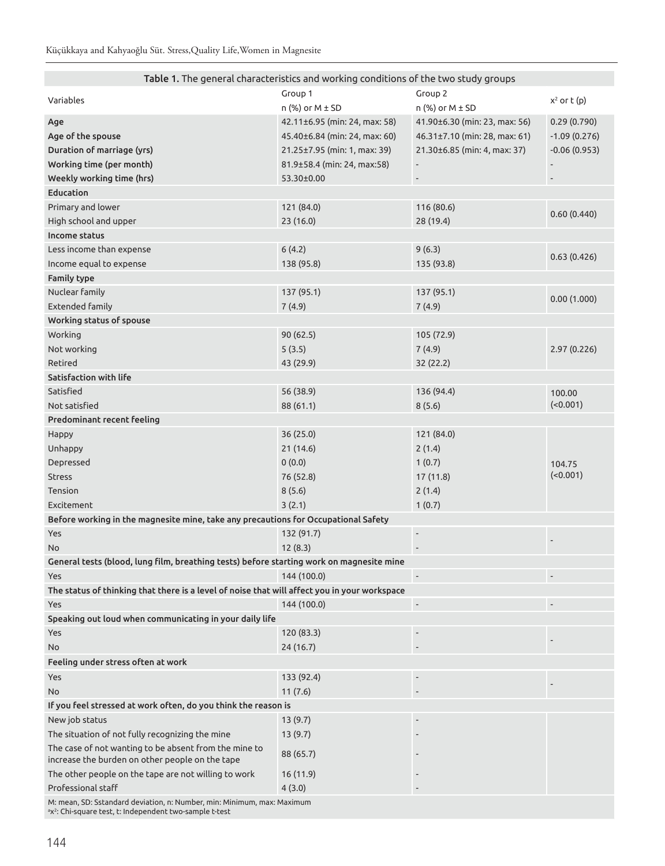| Table 1. The general characteristics and working conditions of the two study groups                                                                        |                               |                               |                          |  |  |  |  |  |
|------------------------------------------------------------------------------------------------------------------------------------------------------------|-------------------------------|-------------------------------|--------------------------|--|--|--|--|--|
| Variables                                                                                                                                                  | Group 1                       | Group 2                       | $x^2$ or $t(p)$          |  |  |  |  |  |
|                                                                                                                                                            | $n$ (%) or M $\pm$ SD         | $n$ (%) or $M \pm SD$         |                          |  |  |  |  |  |
| Age                                                                                                                                                        | 42.11±6.95 (min: 24, max: 58) | 41.90±6.30 (min: 23, max: 56) | 0.29(0.790)              |  |  |  |  |  |
| Age of the spouse                                                                                                                                          | 45.40±6.84 (min: 24, max: 60) | 46.31±7.10 (min: 28, max: 61) | $-1.09(0.276)$           |  |  |  |  |  |
| Duration of marriage (yrs)                                                                                                                                 | 21.25±7.95 (min: 1, max: 39)  | 21.30±6.85 (min: 4, max: 37)  | $-0.06(0.953)$           |  |  |  |  |  |
| Working time (per month)                                                                                                                                   | 81.9±58.4 (min: 24, max:58)   |                               |                          |  |  |  |  |  |
| Weekly working time (hrs)                                                                                                                                  | 53.30±0.00                    | $\qquad \qquad \blacksquare$  | $\overline{\phantom{a}}$ |  |  |  |  |  |
| Education                                                                                                                                                  |                               |                               |                          |  |  |  |  |  |
| Primary and lower                                                                                                                                          | 121 (84.0)                    | 116 (80.6)                    |                          |  |  |  |  |  |
| High school and upper                                                                                                                                      | 23(16.0)                      | 28 (19.4)                     | 0.60(0.440)              |  |  |  |  |  |
| Income status                                                                                                                                              |                               |                               |                          |  |  |  |  |  |
| Less income than expense                                                                                                                                   | 6(4.2)                        | 9(6.3)                        |                          |  |  |  |  |  |
| Income equal to expense                                                                                                                                    | 138 (95.8)                    | 135 (93.8)                    | 0.63(0.426)              |  |  |  |  |  |
| <b>Family type</b>                                                                                                                                         |                               |                               |                          |  |  |  |  |  |
| Nuclear family                                                                                                                                             | 137 (95.1)                    | 137 (95.1)                    |                          |  |  |  |  |  |
| <b>Extended family</b>                                                                                                                                     | 7(4.9)                        | 7(4.9)                        | 0.00(1.000)              |  |  |  |  |  |
| Working status of spouse                                                                                                                                   |                               |                               |                          |  |  |  |  |  |
| Working                                                                                                                                                    | 90(62.5)                      | 105 (72.9)                    |                          |  |  |  |  |  |
| Not working                                                                                                                                                | 5(3.5)                        | 7(4.9)                        | 2.97 (0.226)             |  |  |  |  |  |
| Retired                                                                                                                                                    |                               |                               |                          |  |  |  |  |  |
|                                                                                                                                                            | 43 (29.9)                     | 32 (22.2)                     |                          |  |  |  |  |  |
| Satisfaction with life                                                                                                                                     |                               |                               |                          |  |  |  |  |  |
| Satisfied                                                                                                                                                  | 56 (38.9)                     | 136 (94.4)                    | 100.00<br>(0.001)        |  |  |  |  |  |
| Not satisfied                                                                                                                                              | 88 (61.1)                     | 8(5.6)                        |                          |  |  |  |  |  |
| Predominant recent feeling                                                                                                                                 |                               |                               |                          |  |  |  |  |  |
| Happy                                                                                                                                                      | 36(25.0)                      | 121 (84.0)                    |                          |  |  |  |  |  |
| Unhappy                                                                                                                                                    | 21(14.6)                      | 2(1.4)                        |                          |  |  |  |  |  |
| Depressed                                                                                                                                                  | 0(0.0)                        | 1(0.7)                        | 104.75                   |  |  |  |  |  |
| <b>Stress</b>                                                                                                                                              | 76 (52.8)                     | 17(11.8)                      | (0.001)                  |  |  |  |  |  |
| Tension                                                                                                                                                    | 8(5.6)                        | 2(1.4)                        |                          |  |  |  |  |  |
| Excitement                                                                                                                                                 | 3(2.1)                        | 1(0.7)                        |                          |  |  |  |  |  |
| Before working in the magnesite mine, take any precautions for Occupational Safety                                                                         |                               |                               |                          |  |  |  |  |  |
| Yes                                                                                                                                                        | 132 (91.7)                    | $\overline{\phantom{a}}$      |                          |  |  |  |  |  |
| No                                                                                                                                                         | 12(8.3)                       |                               |                          |  |  |  |  |  |
| General tests (blood, lung film, breathing tests) before starting work on magnesite mine                                                                   |                               |                               |                          |  |  |  |  |  |
| Yes                                                                                                                                                        | 144 (100.0)                   | $\overline{\phantom{a}}$      |                          |  |  |  |  |  |
| The status of thinking that there is a level of noise that will affect you in your workspace                                                               |                               |                               |                          |  |  |  |  |  |
| Yes                                                                                                                                                        | 144 (100.0)                   |                               |                          |  |  |  |  |  |
| Speaking out loud when communicating in your daily life                                                                                                    |                               |                               |                          |  |  |  |  |  |
| Yes                                                                                                                                                        | 120 (83.3)                    |                               |                          |  |  |  |  |  |
| No                                                                                                                                                         | 24(16.7)                      |                               |                          |  |  |  |  |  |
| Feeling under stress often at work                                                                                                                         |                               |                               |                          |  |  |  |  |  |
| Yes                                                                                                                                                        | 133 (92.4)                    |                               |                          |  |  |  |  |  |
| No                                                                                                                                                         | 11(7.6)                       |                               |                          |  |  |  |  |  |
| If you feel stressed at work often, do you think the reason is                                                                                             |                               |                               |                          |  |  |  |  |  |
| New job status                                                                                                                                             | 13(9.7)                       |                               |                          |  |  |  |  |  |
| The situation of not fully recognizing the mine                                                                                                            | 13(9.7)                       |                               |                          |  |  |  |  |  |
| The case of not wanting to be absent from the mine to                                                                                                      |                               |                               |                          |  |  |  |  |  |
| increase the burden on other people on the tape                                                                                                            | 88 (65.7)                     |                               |                          |  |  |  |  |  |
| The other people on the tape are not willing to work                                                                                                       | 16(11.9)                      |                               |                          |  |  |  |  |  |
| Professional staff                                                                                                                                         | 4(3.0)                        |                               |                          |  |  |  |  |  |
| M: mean, SD: Sstandard deviation, n: Number, min: Minimum, max: Maximum<br><sup>a</sup> x <sup>2</sup> : Chi-square test, t: Independent two-sample t-test |                               |                               |                          |  |  |  |  |  |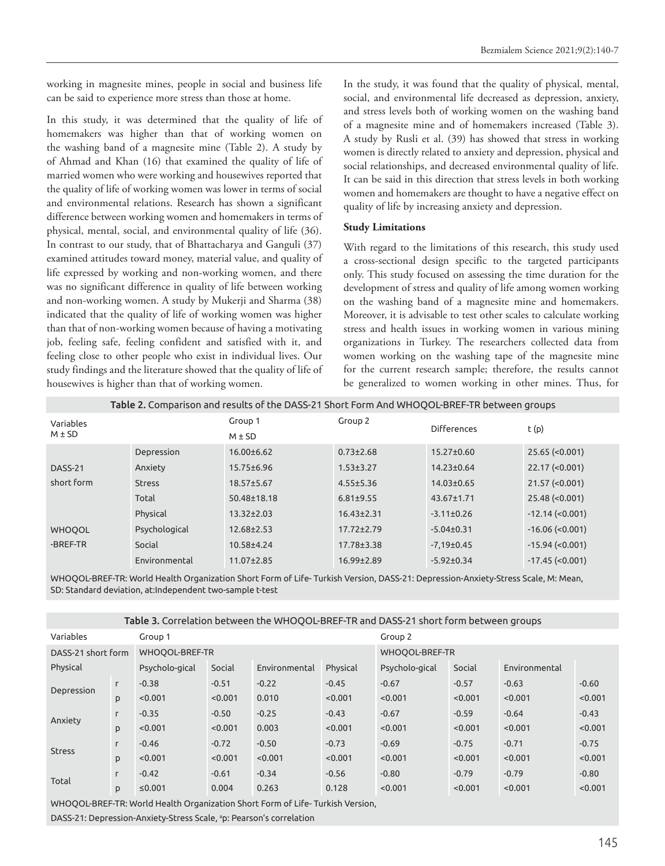working in magnesite mines, people in social and business life can be said to experience more stress than those at home.

In this study, it was determined that the quality of life of homemakers was higher than that of working women on the washing band of a magnesite mine (Table 2). A study by of Ahmad and Khan (16) that examined the quality of life of married women who were working and housewives reported that the quality of life of working women was lower in terms of social and environmental relations. Research has shown a significant difference between working women and homemakers in terms of physical, mental, social, and environmental quality of life (36). In contrast to our study, that of Bhattacharya and Ganguli (37) examined attitudes toward money, material value, and quality of life expressed by working and non-working women, and there was no significant difference in quality of life between working and non-working women. A study by Mukerji and Sharma (38) indicated that the quality of life of working women was higher than that of non-working women because of having a motivating job, feeling safe, feeling confident and satisfied with it, and feeling close to other people who exist in individual lives. Our study findings and the literature showed that the quality of life of housewives is higher than that of working women.

In the study, it was found that the quality of physical, mental, social, and environmental life decreased as depression, anxiety, and stress levels both of working women on the washing band of a magnesite mine and of homemakers increased (Table 3). A study by Rusli et al. (39) has showed that stress in working women is directly related to anxiety and depression, physical and social relationships, and decreased environmental quality of life. It can be said in this direction that stress levels in both working women and homemakers are thought to have a negative effect on quality of life by increasing anxiety and depression.

#### **Study Limitations**

With regard to the limitations of this research, this study used a cross-sectional design specific to the targeted participants only. This study focused on assessing the time duration for the development of stress and quality of life among women working on the washing band of a magnesite mine and homemakers. Moreover, it is advisable to test other scales to calculate working stress and health issues in working women in various mining organizations in Turkey. The researchers collected data from women working on the washing tape of the magnesite mine for the current research sample; therefore, the results cannot be generalized to women working in other mines. Thus, for

| Table 2. Comparison and results of the DASS-21 Short Form And WHOQOL-BREF-TR between groups |               |                   |                  |                    |                        |  |  |
|---------------------------------------------------------------------------------------------|---------------|-------------------|------------------|--------------------|------------------------|--|--|
| Variables                                                                                   |               | Group 1           | Group 2          | <b>Differences</b> | t(p)                   |  |  |
| $M \pm SD$                                                                                  | $M \pm SD$    |                   |                  |                    |                        |  |  |
|                                                                                             | Depression    | $16.00 \pm 6.62$  | $0.73 \pm 2.68$  | $15.27 \pm 0.60$   | $25.65$ (<0.001)       |  |  |
| DASS-21                                                                                     | Anxiety       | $15.75 \pm 6.96$  | $1.53 \pm 3.27$  | $14.23 \pm 0.64$   | $22.17$ (<0.001)       |  |  |
| short form                                                                                  | <b>Stress</b> | $18.57 \pm 5.67$  | $4.55 \pm 5.36$  | $14.03 \pm 0.65$   | $21.57$ (<0.001)       |  |  |
|                                                                                             | Total         | $50.48 \pm 18.18$ | $6.81 \pm 9.55$  | $43.67 \pm 1.71$   | $25.48$ (<0.001)       |  |  |
|                                                                                             | Physical      | $13.32 \pm 2.03$  | $16.43 \pm 2.31$ | $-3.11 \pm 0.26$   | $-12.14$ ( $< 0.001$ ) |  |  |
| <b>WHOOOL</b>                                                                               | Psychological | $12.68 \pm 2.53$  | $17.72 \pm 2.79$ | $-5.04\pm0.31$     | $-16.06$ ( $< 0.001$ ) |  |  |
| -BREF-TR                                                                                    | Social        | 10.58±4.24        | $17.78 \pm 3.38$ | $-7.19 \pm 0.45$   | $-15.94$ (<0.001)      |  |  |
|                                                                                             | Environmental | $11.07 \pm 2.85$  | $16.99 \pm 2.89$ | $-5.92 \pm 0.34$   | $-17.45$ (<0.001)      |  |  |

WHOQOL-BREF-TR: World Health Organization Short Form of Life- Turkish Version, DASS-21: Depression-Anxiety-Stress Scale, M: Mean, SD: Standard deviation, at:Independent two-sample t-test

| Table 3. Correlation between the WHOQOL-BREF-TR and DASS-21 short form between groups |   |                |                |               |          |                |         |               |         |
|---------------------------------------------------------------------------------------|---|----------------|----------------|---------------|----------|----------------|---------|---------------|---------|
| Variables                                                                             |   | Group 1        |                |               | Group 2  |                |         |               |         |
| WHOOOL-BREF-TR<br>DASS-21 short form                                                  |   |                | WHOOOL-BREF-TR |               |          |                |         |               |         |
| Physical                                                                              |   | Psycholo-gical | Social         | Environmental | Physical | Psycholo-gical | Social  | Environmental |         |
| Depression                                                                            | L | $-0.38$        | $-0.51$        | $-0.22$       | $-0.45$  | $-0.67$        | $-0.57$ | $-0.63$       | $-0.60$ |
|                                                                                       | p | < 0.001        | < 0.001        | 0.010         | < 0.001  | < 0.001        | < 0.001 | < 0.001       | < 0.001 |
| L.<br>Anxiety<br>p                                                                    |   | $-0.35$        | $-0.50$        | $-0.25$       | $-0.43$  | $-0.67$        | $-0.59$ | $-0.64$       | $-0.43$ |
|                                                                                       |   | < 0.001        | < 0.001        | 0.003         | < 0.001  | < 0.001        | < 0.001 | < 0.001       | < 0.001 |
| L.<br><b>Stress</b><br>p                                                              |   | $-0.46$        | $-0.72$        | $-0.50$       | $-0.73$  | $-0.69$        | $-0.75$ | $-0.71$       | $-0.75$ |
|                                                                                       |   | < 0.001        | < 0.001        | < 0.001       | < 0.001  | < 0.001        | < 0.001 | < 0.001       | < 0.001 |
| Total                                                                                 | г | $-0.42$        | $-0.61$        | $-0.34$       | $-0.56$  | $-0.80$        | $-0.79$ | $-0.79$       | $-0.80$ |
|                                                                                       | p | ≤0.001         | 0.004          | 0.263         | 0.128    | < 0.001        | < 0.001 | < 0.001       | < 0.001 |
|                                                                                       |   |                |                |               |          |                |         |               |         |

WHOQOL-BREF-TR: World Health Organization Short Form of Life- Turkish Version,

DASS-21: Depression-Anxiety-Stress Scale, <sup>a</sup>p: Pearson's correlation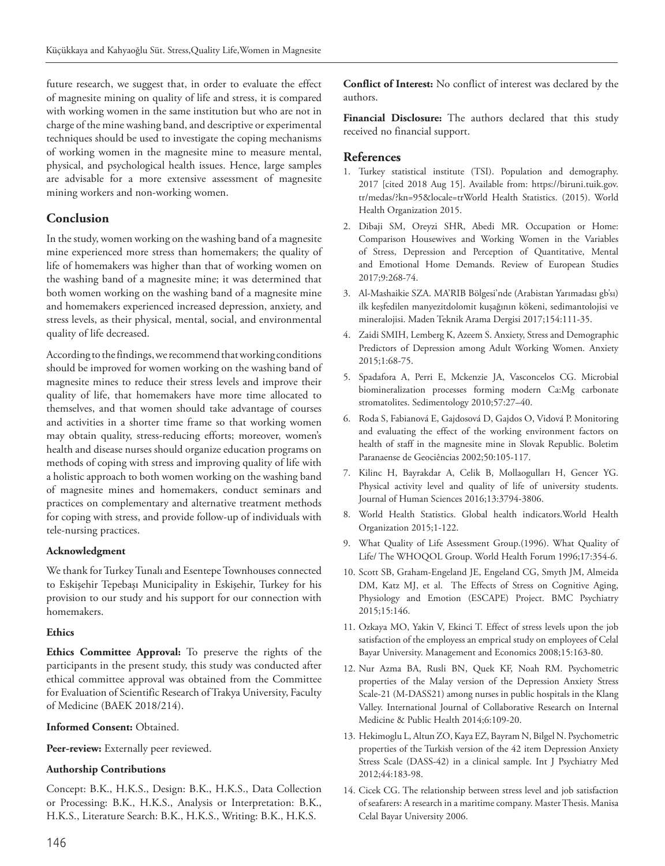future research, we suggest that, in order to evaluate the effect of magnesite mining on quality of life and stress, it is compared with working women in the same institution but who are not in charge of the mine washing band, and descriptive or experimental techniques should be used to investigate the coping mechanisms of working women in the magnesite mine to measure mental, physical, and psychological health issues. Hence, large samples are advisable for a more extensive assessment of magnesite mining workers and non-working women.

### **Conclusion**

In the study, women working on the washing band of a magnesite mine experienced more stress than homemakers; the quality of life of homemakers was higher than that of working women on the washing band of a magnesite mine; it was determined that both women working on the washing band of a magnesite mine and homemakers experienced increased depression, anxiety, and stress levels, as their physical, mental, social, and environmental quality of life decreased.

According to the findings, we recommend that working conditions should be improved for women working on the washing band of magnesite mines to reduce their stress levels and improve their quality of life, that homemakers have more time allocated to themselves, and that women should take advantage of courses and activities in a shorter time frame so that working women may obtain quality, stress-reducing efforts; moreover, women's health and disease nurses should organize education programs on methods of coping with stress and improving quality of life with a holistic approach to both women working on the washing band of magnesite mines and homemakers, conduct seminars and practices on complementary and alternative treatment methods for coping with stress, and provide follow-up of individuals with tele-nursing practices.

#### **Acknowledgment**

We thank for Turkey Tunalı and Esentepe Townhouses connected to Eskişehir Tepebaşı Municipality in Eskişehir, Turkey for his provision to our study and his support for our connection with homemakers.

#### **Ethics**

**Ethics Committee Approval:** To preserve the rights of the participants in the present study, this study was conducted after ethical committee approval was obtained from the Committee for Evaluation of Scientific Research of Trakya University, Faculty of Medicine (BAEK 2018/214).

#### **Informed Consent:** Obtained.

Peer-review: Externally peer reviewed.

#### **Authorship Contributions**

Concept: B.K., H.K.S., Design: B.K., H.K.S., Data Collection or Processing: B.K., H.K.S., Analysis or Interpretation: B.K., H.K.S., Literature Search: B.K., H.K.S., Writing: B.K., H.K.S.

**Conflict of Interest:** No conflict of interest was declared by the authors.

**Financial Disclosure:** The authors declared that this study received no financial support.

#### **References**

- 1. Turkey statistical institute (TSI). Population and demography. 2017 [cited 2018 Aug 15]. Available from: https://biruni.tuik.gov. tr/medas/?kn=95&locale=trWorld Health Statistics. (2015). World Health Organization 2015.
- 2. Dibaji SM, Oreyzi SHR, Abedi MR. Occupation or Home: Comparison Housewives and Working Women in the Variables of Stress, Depression and Perception of Quantitative, Mental and Emotional Home Demands. Review of European Studies 2017;9:268-74.
- 3. Al-Mashaikie SZA. MA'RIB Bölgesi'nde (Arabistan Yarımadası gb'sı) ilk keşfedilen manyezitdolomit kuşağının kökeni, sedimantolojisi ve mineralojisi. Maden Teknik Arama Dergisi 2017;154:111-35.
- 4. Zaidi SMIH, Lemberg K, Azeem S. Anxiety, Stress and Demographic Predictors of Depression among Adult Working Women. Anxiety 2015;1:68-75.
- 5. Spadafora A, Perri E, Mckenzie JA, Vasconcelos CG. Microbial biomineralization processes forming modern Ca:Mg carbonate stromatolites. Sedimentology 2010;57:27–40.
- 6. Roda S, Fabianová E, Gajdosová D, Gajdos O, Vidová P. Monitoring and evaluating the effect of the working environment factors on health of staff in the magnesite mine in Slovak Republic. Boletim Paranaense de Geociências 2002;50:105-117.
- 7. Kilinc H, Bayrakdar A, Celik B, Mollaogulları H, Gencer YG. Physical activity level and quality of life of university students. Journal of Human Sciences 2016;13:3794-3806.
- 8. World Health Statistics. Global health indicators.World Health Organization 2015;1-122.
- 9. What Quality of Life Assessment Group.(1996). What Quality of Life/ The WHOQOL Group. World Health Forum 1996;17:354-6.
- 10. Scott SB, Graham-Engeland JE, Engeland CG, Smyth JM, Almeida DM, Katz MJ, et al. The Effects of Stress on Cognitive Aging, Physiology and Emotion (ESCAPE) Project. BMC Psychiatry 2015;15:146.
- 11. Ozkaya MO, Yakin V, Ekinci T. Effect of stress levels upon the job satisfaction of the employess an emprical study on employees of Celal Bayar University. Management and Economics 2008;15:163-80.
- 12. Nur Azma BA, Rusli BN, Quek KF, Noah RM. Psychometric properties of the Malay version of the Depression Anxiety Stress Scale-21 (M-DASS21) among nurses in public hospitals in the Klang Valley. International Journal of Collaborative Research on Internal Medicine & Public Health 2014;6:109-20.
- 13. Hekimoglu L, Altun ZO, Kaya EZ, Bayram N, Bilgel N. Psychometric properties of the Turkish version of the 42 item Depression Anxiety Stress Scale (DASS-42) in a clinical sample. Int J Psychiatry Med 2012;44:183-98.
- 14. Cicek CG. The relationship between stress level and job satisfaction of seafarers: A research in a maritime company. Master Thesis. Manisa Celal Bayar University 2006.